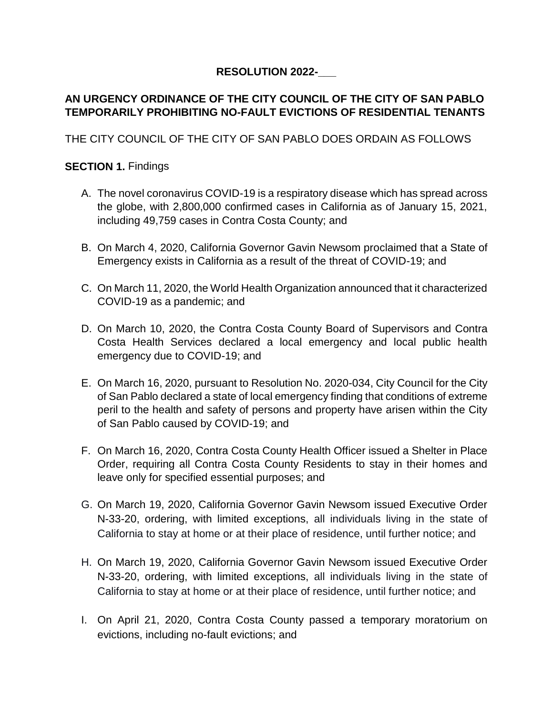# **RESOLUTION 2022-\_\_\_**

# **AN URGENCY ORDINANCE OF THE CITY COUNCIL OF THE CITY OF SAN PABLO TEMPORARILY PROHIBITING NO-FAULT EVICTIONS OF RESIDENTIAL TENANTS**

THE CITY COUNCIL OF THE CITY OF SAN PABLO DOES ORDAIN AS FOLLOWS

## **SECTION 1.** Findings

- A. The novel coronavirus COVID-19 is a respiratory disease which has spread across the globe, with 2,800,000 confirmed cases in California as of January 15, 2021, including 49,759 cases in Contra Costa County; and
- B. On March 4, 2020, California Governor Gavin Newsom proclaimed that a State of Emergency exists in California as a result of the threat of COVID-19; and
- C. On March 11, 2020, the World Health Organization announced that it characterized COVID-19 as a pandemic; and
- D. On March 10, 2020, the Contra Costa County Board of Supervisors and Contra Costa Health Services declared a local emergency and local public health emergency due to COVID-19; and
- E. On March 16, 2020, pursuant to Resolution No. 2020-034, City Council for the City of San Pablo declared a state of local emergency finding that conditions of extreme peril to the health and safety of persons and property have arisen within the City of San Pablo caused by COVID-19; and
- F. On March 16, 2020, Contra Costa County Health Officer issued a Shelter in Place Order, requiring all Contra Costa County Residents to stay in their homes and leave only for specified essential purposes; and
- G. On March 19, 2020, California Governor Gavin Newsom issued Executive Order N-33-20, ordering, with limited exceptions, all individuals living in the state of California to stay at home or at their place of residence, until further notice; and
- H. On March 19, 2020, California Governor Gavin Newsom issued Executive Order N-33-20, ordering, with limited exceptions, all individuals living in the state of California to stay at home or at their place of residence, until further notice; and
- I. On April 21, 2020, Contra Costa County passed a temporary moratorium on evictions, including no-fault evictions; and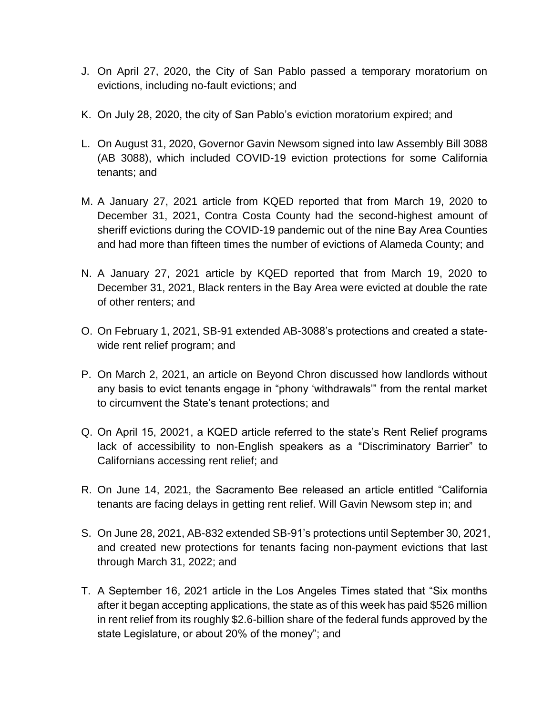- J. On April 27, 2020, the City of San Pablo passed a temporary moratorium on evictions, including no-fault evictions; and
- K. On July 28, 2020, the city of San Pablo's eviction moratorium expired; and
- L. On August 31, 2020, Governor Gavin Newsom signed into law Assembly Bill 3088 (AB 3088), which included COVID-19 eviction protections for some California tenants; and
- M. A January 27, 2021 article from KQED reported that from March 19, 2020 to December 31, 2021, Contra Costa County had the second-highest amount of sheriff evictions during the COVID-19 pandemic out of the nine Bay Area Counties and had more than fifteen times the number of evictions of Alameda County; and
- N. A January 27, 2021 article by KQED reported that from March 19, 2020 to December 31, 2021, Black renters in the Bay Area were evicted at double the rate of other renters; and
- O. On February 1, 2021, SB-91 extended AB-3088's protections and created a statewide rent relief program; and
- P. On March 2, 2021, an article on Beyond Chron discussed how landlords without any basis to evict tenants engage in "phony 'withdrawals'" from the rental market to circumvent the State's tenant protections; and
- Q. On April 15, 20021, a KQED article referred to the state's Rent Relief programs lack of accessibility to non-English speakers as a "Discriminatory Barrier" to Californians accessing rent relief; and
- R. On June 14, 2021, the Sacramento Bee released an article entitled "California tenants are facing delays in getting rent relief. Will Gavin Newsom step in; and
- S. On June 28, 2021, AB-832 extended SB-91's protections until September 30, 2021, and created new protections for tenants facing non-payment evictions that last through March 31, 2022; and
- T. A September 16, 2021 article in the Los Angeles Times stated that "Six months after it began accepting applications, the state as of this week has paid \$526 million in rent relief from its roughly \$2.6-billion share of the federal funds approved by the state Legislature, or about 20% of the money"; and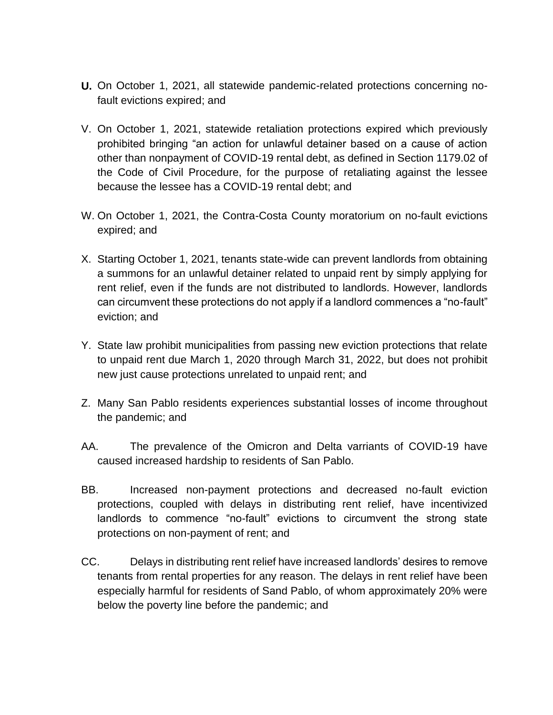- **U.** On October 1, 2021, all statewide pandemic-related protections concerning nofault evictions expired; and
- V. On October 1, 2021, statewide retaliation protections expired which previously prohibited bringing "an action for unlawful detainer based on a cause of action other than nonpayment of COVID-19 rental debt, as defined in Section 1179.02 of the Code of Civil Procedure, for the purpose of retaliating against the lessee because the lessee has a COVID-19 rental debt; and
- W. On October 1, 2021, the Contra-Costa County moratorium on no-fault evictions expired; and
- X. Starting October 1, 2021, tenants state-wide can prevent landlords from obtaining a summons for an unlawful detainer related to unpaid rent by simply applying for rent relief, even if the funds are not distributed to landlords. However, landlords can circumvent these protections do not apply if a landlord commences a "no-fault" eviction; and
- Y. State law prohibit municipalities from passing new eviction protections that relate to unpaid rent due March 1, 2020 through March 31, 2022, but does not prohibit new just cause protections unrelated to unpaid rent; and
- Z. Many San Pablo residents experiences substantial losses of income throughout the pandemic; and
- AA. The prevalence of the Omicron and Delta varriants of COVID-19 have caused increased hardship to residents of San Pablo.
- BB. Increased non-payment protections and decreased no-fault eviction protections, coupled with delays in distributing rent relief, have incentivized landlords to commence "no-fault" evictions to circumvent the strong state protections on non-payment of rent; and
- CC. Delays in distributing rent relief have increased landlords' desires to remove tenants from rental properties for any reason. The delays in rent relief have been especially harmful for residents of Sand Pablo, of whom approximately 20% were below the poverty line before the pandemic; and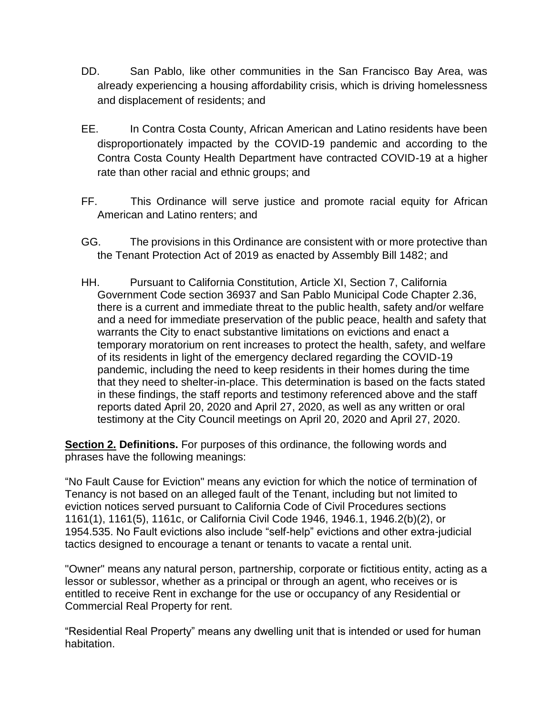- DD. San Pablo, like other communities in the San Francisco Bay Area, was already experiencing a housing affordability crisis, which is driving homelessness and displacement of residents; and
- EE. In Contra Costa County, African American and Latino residents have been disproportionately impacted by the COVID-19 pandemic and according to the Contra Costa County Health Department have contracted COVID-19 at a higher rate than other racial and ethnic groups; and
- FF. This Ordinance will serve justice and promote racial equity for African American and Latino renters; and
- GG. The provisions in this Ordinance are consistent with or more protective than the Tenant Protection Act of 2019 as enacted by Assembly Bill 1482; and
- HH. Pursuant to California Constitution, Article XI, Section 7, California Government Code section 36937 and San Pablo Municipal Code Chapter 2.36, there is a current and immediate threat to the public health, safety and/or welfare and a need for immediate preservation of the public peace, health and safety that warrants the City to enact substantive limitations on evictions and enact a temporary moratorium on rent increases to protect the health, safety, and welfare of its residents in light of the emergency declared regarding the COVID-19 pandemic, including the need to keep residents in their homes during the time that they need to shelter-in-place. This determination is based on the facts stated in these findings, the staff reports and testimony referenced above and the staff reports dated April 20, 2020 and April 27, 2020, as well as any written or oral testimony at the City Council meetings on April 20, 2020 and April 27, 2020.

**Section 2. Definitions.** For purposes of this ordinance, the following words and phrases have the following meanings:

"No Fault Cause for Eviction" means any eviction for which the notice of termination of Tenancy is not based on an alleged fault of the Tenant, including but not limited to eviction notices served pursuant to California Code of Civil Procedures sections 1161(1), 1161(5), 1161c, or California Civil Code 1946, 1946.1, 1946.2(b)(2), or 1954.535. No Fault evictions also include "self-help" evictions and other extra-judicial tactics designed to encourage a tenant or tenants to vacate a rental unit.

"Owner" means any natural person, partnership, corporate or fictitious entity, acting as a lessor or sublessor, whether as a principal or through an agent, who receives or is entitled to receive Rent in exchange for the use or occupancy of any Residential or Commercial Real Property for rent.

"Residential Real Property" means any dwelling unit that is intended or used for human habitation.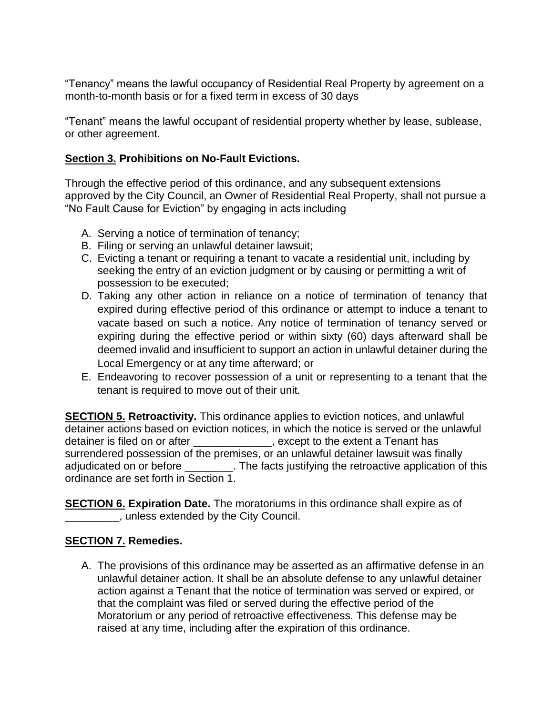"Tenancy" means the lawful occupancy of Residential Real Property by agreement on a month-to-month basis or for a fixed term in excess of 30 days

"Tenant" means the lawful occupant of residential property whether by lease, sublease, or other agreement.

## **Section 3. Prohibitions on No-Fault Evictions.**

Through the effective period of this ordinance, and any subsequent extensions approved by the City Council, an Owner of Residential Real Property, shall not pursue a "No Fault Cause for Eviction" by engaging in acts including

- A. Serving a notice of termination of tenancy;
- B. Filing or serving an unlawful detainer lawsuit;
- C. Evicting a tenant or requiring a tenant to vacate a residential unit, including by seeking the entry of an eviction judgment or by causing or permitting a writ of possession to be executed;
- D. Taking any other action in reliance on a notice of termination of tenancy that expired during effective period of this ordinance or attempt to induce a tenant to vacate based on such a notice. Any notice of termination of tenancy served or expiring during the effective period or within sixty (60) days afterward shall be deemed invalid and insufficient to support an action in unlawful detainer during the Local Emergency or at any time afterward; or
- E. Endeavoring to recover possession of a unit or representing to a tenant that the tenant is required to move out of their unit.

**SECTION 5. Retroactivity.** This ordinance applies to eviction notices, and unlawful detainer actions based on eviction notices, in which the notice is served or the unlawful detainer is filed on or after \_\_\_\_\_\_\_\_\_\_\_\_, except to the extent a Tenant has surrendered possession of the premises, or an unlawful detainer lawsuit was finally adiudicated on or before \_\_\_\_\_\_\_\_. The facts justifying the retroactive application of this ordinance are set forth in Section 1.

**SECTION 6. Expiration Date.** The moratoriums in this ordinance shall expire as of  $\Box$ , unless extended by the City Council.

#### **SECTION 7. Remedies.**

A. The provisions of this ordinance may be asserted as an affirmative defense in an unlawful detainer action. It shall be an absolute defense to any unlawful detainer action against a Tenant that the notice of termination was served or expired, or that the complaint was filed or served during the effective period of the Moratorium or any period of retroactive effectiveness. This defense may be raised at any time, including after the expiration of this ordinance.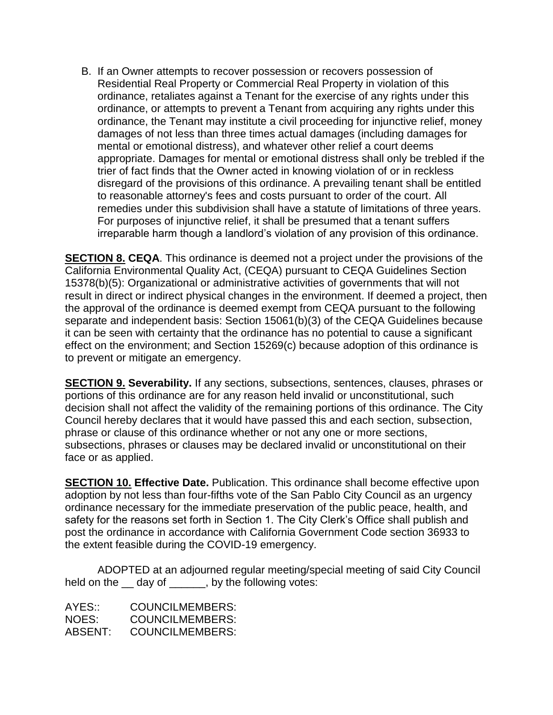B. If an Owner attempts to recover possession or recovers possession of Residential Real Property or Commercial Real Property in violation of this ordinance, retaliates against a Tenant for the exercise of any rights under this ordinance, or attempts to prevent a Tenant from acquiring any rights under this ordinance, the Tenant may institute a civil proceeding for injunctive relief, money damages of not less than three times actual damages (including damages for mental or emotional distress), and whatever other relief a court deems appropriate. Damages for mental or emotional distress shall only be trebled if the trier of fact finds that the Owner acted in knowing violation of or in reckless disregard of the provisions of this ordinance. A prevailing tenant shall be entitled to reasonable attorney's fees and costs pursuant to order of the court. All remedies under this subdivision shall have a statute of limitations of three years. For purposes of injunctive relief, it shall be presumed that a tenant suffers irreparable harm though a landlord's violation of any provision of this ordinance.

**SECTION 8. CEQA**. This ordinance is deemed not a project under the provisions of the California Environmental Quality Act, (CEQA) pursuant to CEQA Guidelines Section 15378(b)(5): Organizational or administrative activities of governments that will not result in direct or indirect physical changes in the environment. If deemed a project, then the approval of the ordinance is deemed exempt from CEQA pursuant to the following separate and independent basis: Section 15061(b)(3) of the CEQA Guidelines because it can be seen with certainty that the ordinance has no potential to cause a significant effect on the environment; and Section 15269(c) because adoption of this ordinance is to prevent or mitigate an emergency.

**SECTION 9. Severability.** If any sections, subsections, sentences, clauses, phrases or portions of this ordinance are for any reason held invalid or unconstitutional, such decision shall not affect the validity of the remaining portions of this ordinance. The City Council hereby declares that it would have passed this and each section, subsection, phrase or clause of this ordinance whether or not any one or more sections, subsections, phrases or clauses may be declared invalid or unconstitutional on their face or as applied.

**SECTION 10. Effective Date.** Publication. This ordinance shall become effective upon adoption by not less than four-fifths vote of the San Pablo City Council as an urgency ordinance necessary for the immediate preservation of the public peace, health, and safety for the reasons set forth in Section 1. The City Clerk's Office shall publish and post the ordinance in accordance with California Government Code section 36933 to the extent feasible during the COVID-19 emergency.

ADOPTED at an adjourned regular meeting/special meeting of said City Council held on the day of . by the following votes:

AYES:: COUNCILMEMBERS: NOES: COUNCILMEMBERS: ABSENT: COUNCILMEMBERS: